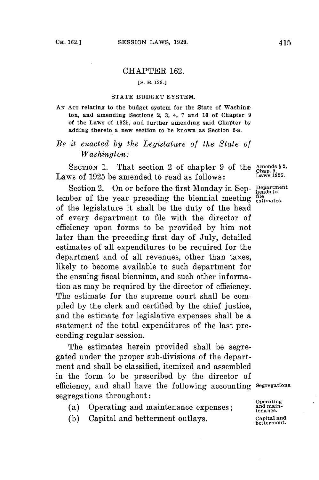## CHAPTER **162.**

## *[S.* **B. 129.]**

## **STATE BUDGET SYSTEM.**

**AN ACT relating to the budget system for the State of Washington, and amending Sections 2, 3, 4, 7 and 10 of Chapter 9 of the Laws of 1925, and further amending said Chapter by adding thereto a new section to be known as Section 2-a.**

## *Be it enacted by the Legislature of the State of Washington:*

SECTION 1. That section 2 of chapter 9 of the  $\frac{\text{Amends } 8 \cdot 2}{\text{Chap. } 9 \cdot 2}$ Laws of **1925** be amended to read as follows: **Laws 1925.**

Section 2. On or **before** the first Monday in Sep- **Department** tember of the year preceding the biennial meeting  $\frac{\text{file}}{\text{estimates}}$ . of the legislature it shall be the duty of the head of every department to file with the director of efficiency upon forms to be provided **by** him not later than the preceding first day of July, detailed estimates of all expenditures to be required for the department and of all revenues, other than taxes, likely to become available to such department for the ensuing fiscal biennium, and such other information as may be required **by** the director of efficiency. The estimate for the supreme court shall be compiled **by** the clerk and certified **by** the chief justice, and the estimate for legislative expenses shall be a statement of the total expenditures of the last preceeding regular session.

The estimates herein provided shall be segregated under the proper sub-divisions of the department and shall be classified, itemized and assembled in the form to be prescribed **by** the director of efficiency, and shall have the following accounting **Segregations.** segregations throughout: **Operating** (a) Operating and maintenance expenses; and anainenace epenes; **and maintenance** expenses; **tenance.** 

- 
- **(b)** Capital and betterment outlays. **Capital and**

**betterment.**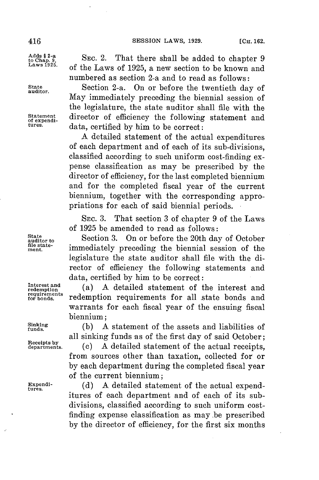**Adds § 2-a**

**S t a t**

**requirements**

**to Chap. 9** SEC. 2. That there shall be added to chapter **9 Laws 1925. of** the Laws of **1925,** a new section to be known and numbered as section 2-a and to read as follows:

State **Section 2-a.** On or before the twentieth day of May immediately preceding the biennial session of the legislature, the state auditor shall file with the Statement director of efficiency the following statement and tures. data, certified **by** him to be correct:

> **A** detailed statement of the actual expenditures of each department and of each of its sub-divisions, classified according to such uniform cost-finding expense classification as may be prescribed **by** the director of efficiency, **for** the last completed biennium and for the completed fiscal year of the current biennium, together with the corresponding appropriations for each of said biennial periods.

> **SEc. 3.** That section **3** of chapter **9** of the Laws of **1925** be amended to read as follows:

State<br>
auditor to **Section 3.** On or before the 20th day of October aturation of the state-<br>ment. **immediately** preceding the biennial session of the legislature the state auditor shall file with the director of efficiency the following statements and data, certified **by** him to be correct:

Interest and (a) A detailed statement of the interest and **for bonds,** redemption requirements for all state bonds and warrants for each fiscal year of the ensuing fiscal biennium;

 $\frac{\text{Sinking}}{\text{funds}}$  (b) A statement of the assets and liabilities of all sinking funds as of the first day of said October;

 $\overrightarrow{B}$  eceipts by  $\overrightarrow{A}$  detailed statement of the actual receipts, from sources other than taxation, collected for or **by** each department during the completed fiscal year of the current biennium;

**Expendi- (d) A** detailed statement of the actual expend- **tures.** itures of each department and of each of its subdivisions, classified according to such uniform costfinding expense classification as may .be prescribed **by** the director of efficiency, for the first six months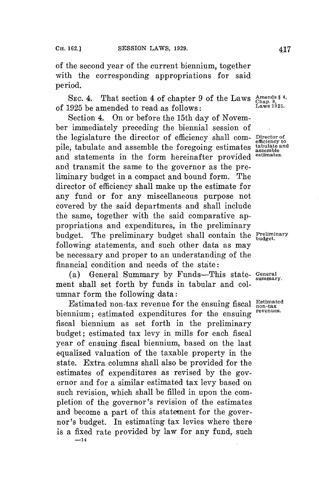of the second year of the current biennium, together with the corresponding appropriations for said period.

SEC. 4. That section 4 of chapter **9** of the Laws **Amends §4,** of **1925** be amended to read as follows: **Laws 1925.**

Section 4. On or before the 15th day of November immediately preceding the biennial session of the legislature the director of efficiency shall com- **Director of** pile, tabulate and assemble the foregoing estimates and statements in the form hereinafter provided and transmit the same to the governor as the preliminary budget in a compact and bound form. The director of efficiency shall make up the estimate for any fund or for any miscellaneous purpose not covered **by** the said departments and shall include the same, together with the said comparative appropriations and expenditures, in the preliminary budget. The preliminary budget shall contain the **Preliminary** following statements, and such other data as may be necessary and proper to an understanding of the financial condition and needs of the state:

(a) General Summary **by** Funds-This state- **General** ment shall set forth **by** funds in tabular and **col**umnar form the following data:

Estimated non-tax revenue for the ensuing fiscal **Estimated**<br>non-tax *contracted* currenditures for the curricular revenues. biennium; estimated expenditures for the ensuing fiscal biennium as set forth in the preliminary budget; estimated tax levy in mills for each fiscal year of ensuing fiscal biennium, based on the last equalized valuation of the taxable property in the state. Extra columns shall also be provided for the estimates of expenditures as revised **by** the governor and for a similar estimated tax levy based on such revision, which shall be filled in upon the completion of the governor's revision of the estimates and become a part of this statement for the governor's budget. In estimating tax levies where there is a fixed rate provided **by** law **for** any fund, such **-14**

**efficiency to assemble**

**summary.**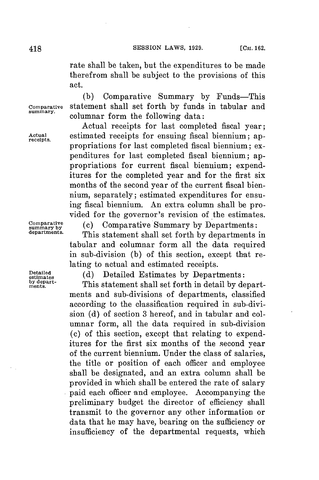rate shall be taken, but the expenditures to be made therefrom shall be subject to the provisions of this act.

**(b)** Comparative Summary **by** Funds-This **Comparative** Statement shall set forth **by** funds in tabular and **summary.** columnar form the following data:

Actual receipts for last completed fiscal year; **Actual** estimated receipts for ensuing fiscal biennium; ap- **receipts.** propriations for last completed fiscal biennium; expenditures **for** last completed fiscal biennium; appropriations for current fiscal biennium; expenditures for the completed year and for the first six months of the second year of the current fiscal biennium, separately; estimated expenditures for ensuing fiscal biennium. An extra column shall be provided for the governor's revision of the estimates.

**umarabve** (c) Comparative Summary **by** Departments:

**departments.** This statement shall set forth **by** departments in tabular and columnar form all the data required in sub-division **(b)** of this section, except that relating to actual and estimated receipts.

**eties (d)** Detailed Estimates **by** Departments:

by depart-<br>ments. This statement shall set forth in detail by departments and sub-divisions of departments, classified according to the classification required in sub-division **(d)** of section **3** hereof, and in tabular and columnar form, all the data required in sub-division (c) of this section, except that relating to expenditures for the first six months of the second year of the current biennium. Under the class of salaries, the title or position of each officer and employee shall be designated, and an extra column shall be provided in which shall be entered the rate of salary paid each officer and employee. Accompanying the preliminary budget the director of efficiency shall transmit to the governor any other information or data that he may have, bearing on the sufficiency or insufficiency of the departmental requests, which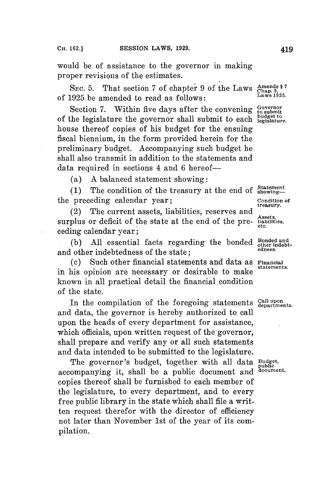would be of assistance to the governor in making proper revisions of the estimates.

SEC. 5. That section 7 of chapter 9 of the Laws  $\frac{\text{Amends } 87}{\text{Chap. } 995}$ of **1925** be amended to read as follows: **Laws 1925.**

Section 7. Within five days after the convening  $\frac{Goverline{V}}{10 \text{ subm}}$ of the legislature the governor shall submit to each  $_{\rm begins}^{\rm budget}$ house thereof copies of his budget for the ensuing fiscal biennium, in the form provided herein for the preliminary budget. Accompanying such budget he shall also transmit in addition to the statements and data required in sections 4 and **6** hereof-

(a) **A** balanced statement showing:

(1) The condition of the treasury at the end of  $\frac{\text{Statement}}{\text{showing}}$ the preceding calendar year; **Condition of treasury.**

(2) The current assets, liabilities, reserves and surplus or deficit of the state at the end of the preceding calendar year;

(b) All essential facts regarding the bonded  $\frac{Bonded \text{ and } Bonded \text{ and } Bonded \text{ and } Bonded \text{ and } Bonded \text{ and } Bonded \text{ and } Bonded \text{ and } Bonded \text{ and } Bonded \text{ and } Bonded \text{ and } Bonded \text{ and } Bonded \text{ and } Bonded \text{ and } Bonded \text{ and } Bonded \text{ and } Bonded \text{ and } Bnd \text{ are the same.}$ and other indebtedness of the state;

**(c)** Such other financial statements and data as **Financial** . **statements.** in his opinion are necessary or desirable to make known in all practical detail the financial condition of the state.

In the compilation of the foregoing statements Call upon and data, the governor is hereby authorized to call upon the heads of every department for assistance, which officials, upon written request of the governor, shall prepare and verify any or all such statements and data intended to be submitted to the legislature.

The governor's budget, together with all data **Budget, public** accompanying it, shall be a public document and copies thereof shall be furnished to each member of the legislature, to every department, and to every free public library in the state which shall file a written request therefor with the director of efficiency not later than November 1st of the year of its compilation.

**Assets, etc.**